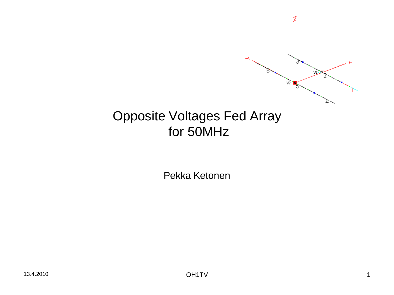

#### Opposite Voltages Fed Array for 50MHz

Pekka Ketonen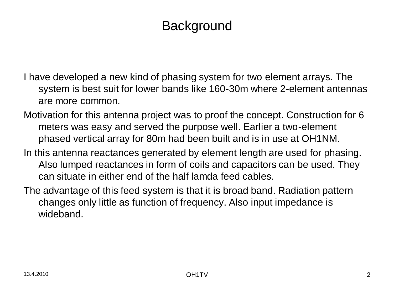# **Background**

- I have developed a new kind of phasing system for two element arrays. The system is best suit for lower bands like 160-30m where 2-element antennas are more common.
- Motivation for this antenna project was to proof the concept. Construction for 6 meters was easy and served the purpose well. Earlier a two-element phased vertical array for 80m had been built and is in use at OH1NM.
- In this antenna reactances generated by element length are used for phasing. Also lumped reactances in form of coils and capacitors can be used. They can situate in either end of the half lamda feed cables.
- The advantage of this feed system is that it is broad band. Radiation pattern changes only little as function of frequency. Also input impedance is wideband.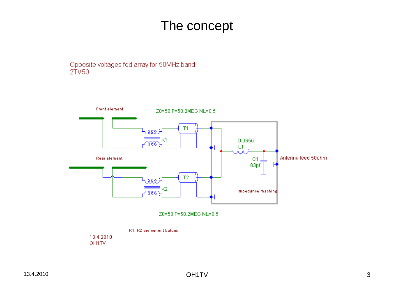## The concept

Opposite voltages fed array for 50MHz band  $2TV50$ 



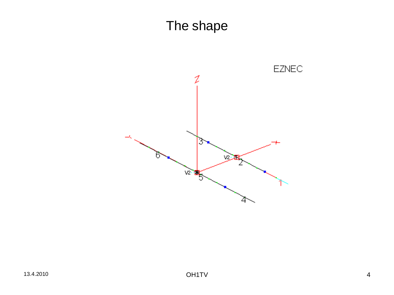# The shape

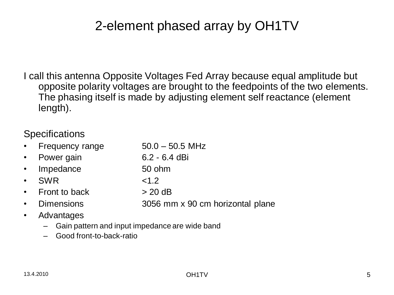# 2-element phased array by OH1TV

I call this antenna Opposite Voltages Fed Array because equal amplitude but opposite polarity voltages are brought to the feedpoints of the two elements. The phasing itself is made by adjusting element self reactance (element length).

#### **Specifications**

- Frequency range  $50.0 50.5$  MHz
- Power gain 6.2 6.4 dBi
- Impedance 50 ohm
- SWR  $< 1.2$
- Front to back  $> 20 \text{ dB}$
- Dimensions 3056 mm x 90 cm horizontal plane
- Advantages
	- Gain pattern and input impedance are wide band
	- Good front-to-back-ratio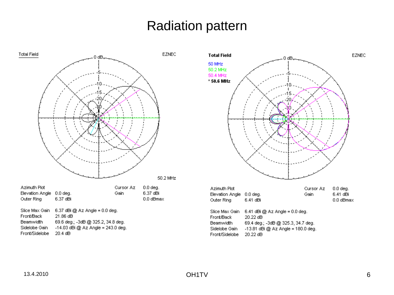## Radiation pattern



Front/Sidelobe 20.4 dB



- -13.81 dBi @ Az Angle = 180.0 deg. Sidelobe Gain
- Front/Sidelobe 20.22 dB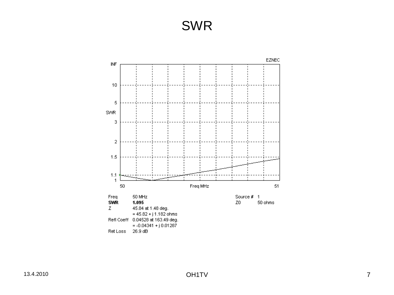#### SWR

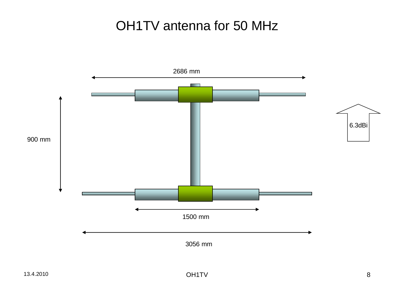# OH1TV antenna for 50 MHz

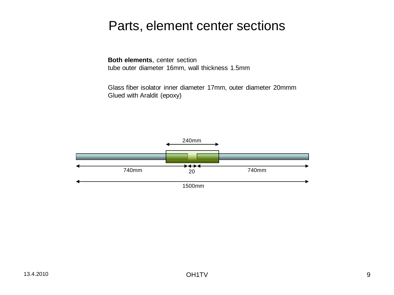#### Parts, element center sections

**Both elements**, center section tube outer diameter 16mm, wall thickness 1.5mm

Glass fiber isolator inner diameter 17mm, outer diameter 20mmm Glued with Araldit (epoxy)

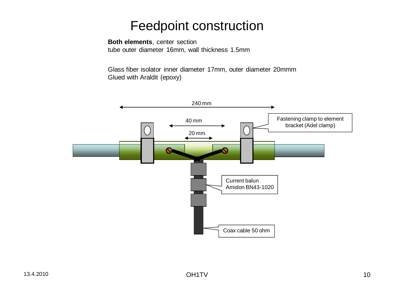#### Feedpoint construction

#### **Both elements**, center section tube outer diameter 16mm, wall thickness 1.5mm

Glass fiber isolator inner diameter 17mm, outer diameter 20mmm Glued with Araldit (epoxy)

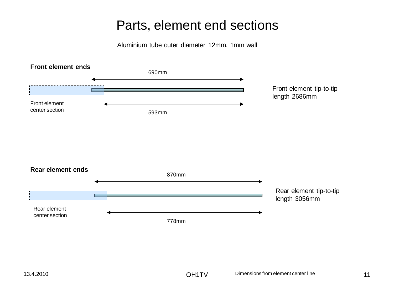#### Parts, element end sections

Aluminium tube outer diameter 12mm, 1mm wall

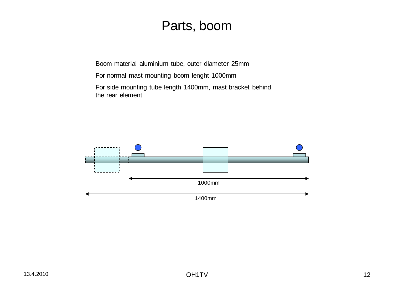#### Parts, boom

Boom material aluminium tube, outer diameter 25mm

- For normal mast mounting boom lenght 1000mm
- For side mounting tube length 1400mm, mast bracket behind the rear element

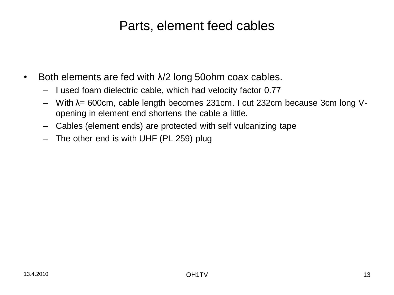## Parts, element feed cables

- Both elements are fed with  $\lambda/2$  long 50ohm coax cables.
	- I used foam dielectric cable, which had velocity factor 0.77
	- With λ= 600cm, cable length becomes 231cm. I cut 232cm because 3cm long Vopening in element end shortens the cable a little.
	- Cables (element ends) are protected with self vulcanizing tape
	- The other end is with UHF (PL 259) plug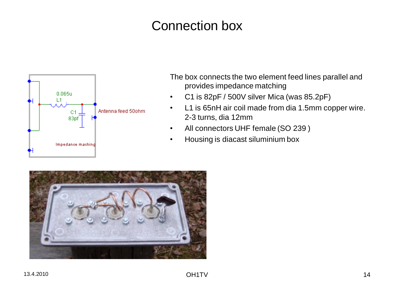# Connection box



The box connects the two element feed lines parallel and provides impedance matching

- C1 is 82pF / 500V silver Mica (was 85.2pF)
- L1 is 65nH air coil made from dia 1.5mm copper wire. 2-3 turns, dia 12mm
- All connectors UHF female (SO 239 )
- Housing is diacast siluminium box

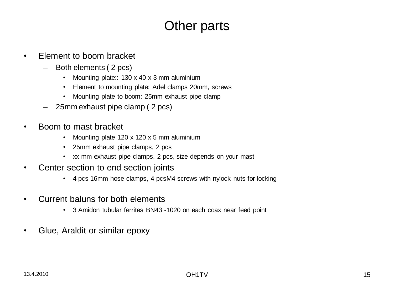# Other parts

- Element to boom bracket
	- Both elements ( 2 pcs)
		- Mounting plate:: 130 x 40 x 3 mm aluminium
		- Element to mounting plate: Adel clamps 20mm, screws
		- Mounting plate to boom: 25mm exhaust pipe clamp
	- 25mm exhaust pipe clamp ( 2 pcs)
- Boom to mast bracket
	- Mounting plate 120 x 120 x 5 mm aluminium
	- 25mm exhaust pipe clamps, 2 pcs
	- xx mm exhaust pipe clamps, 2 pcs, size depends on your mast
- Center section to end section joints
	- 4 pcs 16mm hose clamps, 4 pcsM4 screws with nylock nuts for locking
- Current baluns for both elements
	- 3 Amidon tubular ferrites BN43 -1020 on each coax near feed point
- Glue, Araldit or similar epoxy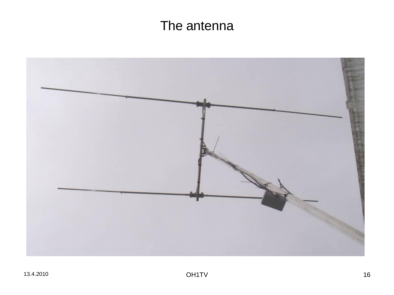# The antenna

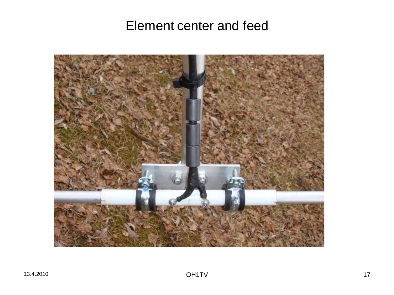#### Element center and feed

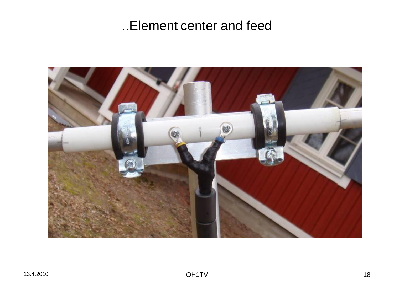## ..Element center and feed

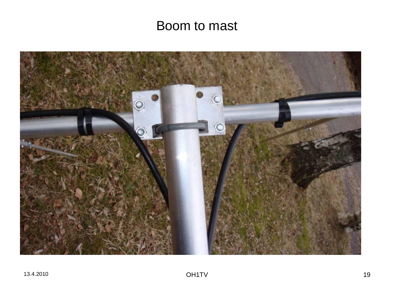## Boom to mast